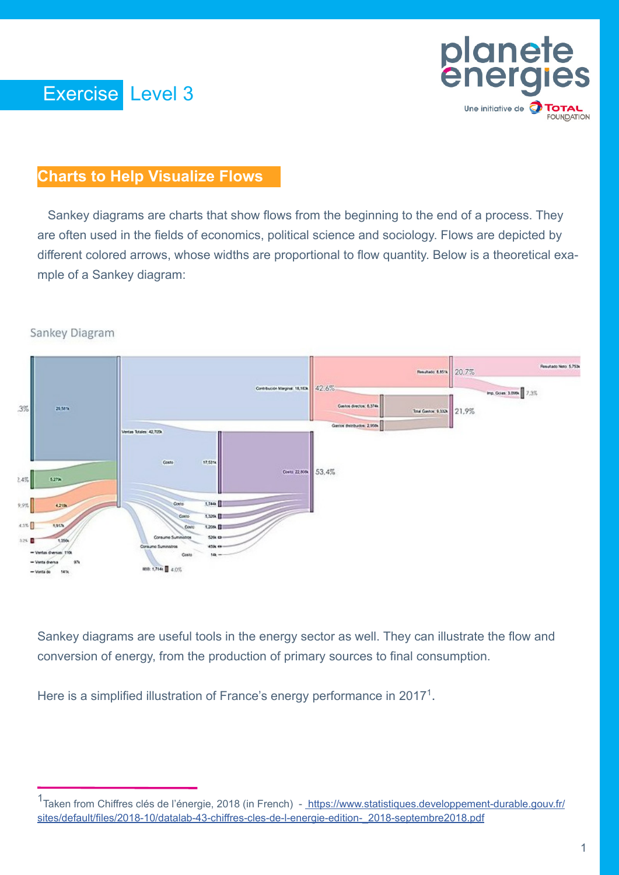

# **Charts to Help Visualize Flows**

 Sankey diagrams are charts that show flows from the beginning to the end of a process. They are often used in the fields of economics, political science and sociology. Flows are depicted by different colored arrows, whose widths are proportional to flow quantity. Below is a theoretical example of a Sankey diagram:



Sankey Diagram

Sankey diagrams are useful tools in the energy sector as well. They can illustrate the flow and conversion of energy, from the production of primary sources to final consumption.

Here is a simplified illustration of France's energy performance in 2017<sup>1</sup>.

<sup>1&</sup>lt;br>Taken from Chiffres clés de l'énergie, 2018 (in French) - [https://www.statistiques.developpement-durable.gouv.fr/]( https://www.statistiques.developpement-durable.gouv.fr/sites/default/files/2018-10/datalab-43-chiffres-cles-de-l-energie-edition-_2018-septembre2018.pdf) [sites/default/files/2018-10/datalab-43-chiffres-cles-de-l-energie-edition-\\_2018-septembre2018.pdf]( https://www.statistiques.developpement-durable.gouv.fr/sites/default/files/2018-10/datalab-43-chiffres-cles-de-l-energie-edition-_2018-septembre2018.pdf)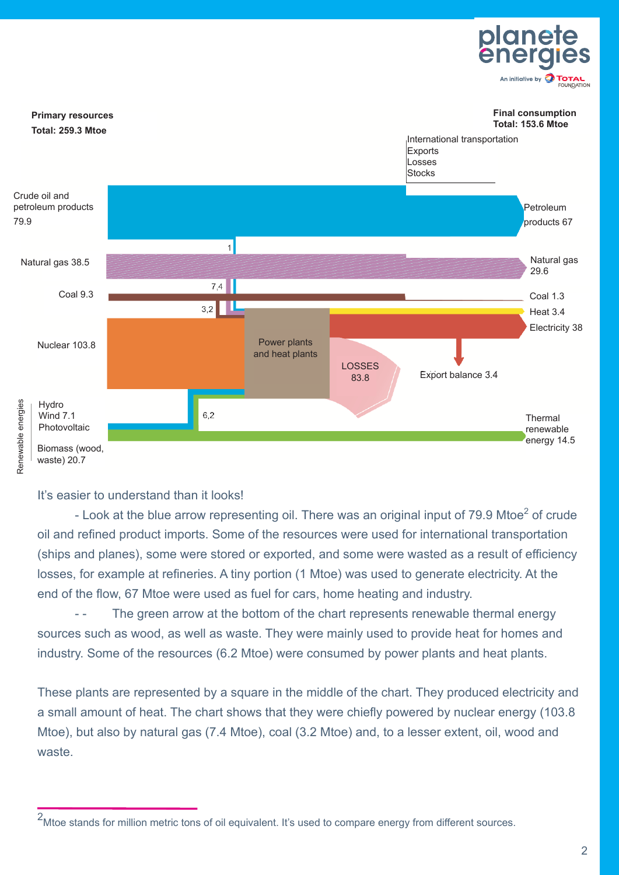



#### It's easier to understand than it looks!

- Look at the blue arrow representing oil. There was an original input of 79.9 Mtoe<sup>2</sup> of crude oil and refined product imports. Some of the resources were used for international transportation (ships and planes), some were stored or exported, and some were wasted as a result of efficiency losses, for example at refineries. A tiny portion (1 Mtoe) was used to generate electricity. At the end of the flow, 67 Mtoe were used as fuel for cars, home heating and industry.

- - The green arrow at the bottom of the chart represents renewable thermal energy sources such as wood, as well as waste. They were mainly used to provide heat for homes and industry. Some of the resources (6.2 Mtoe) were consumed by power plants and heat plants.

These plants are represented by a square in the middle of the chart. They produced electricity and a small amount of heat. The chart shows that they were chiefly powered by nuclear energy (103.8 Mtoe), but also by natural gas (7.4 Mtoe), coal (3.2 Mtoe) and, to a lesser extent, oil, wood and waste.

<sup>2</sup> Mtoe stands for million metric tons of oil equivalent. It's used to compare energy from different sources.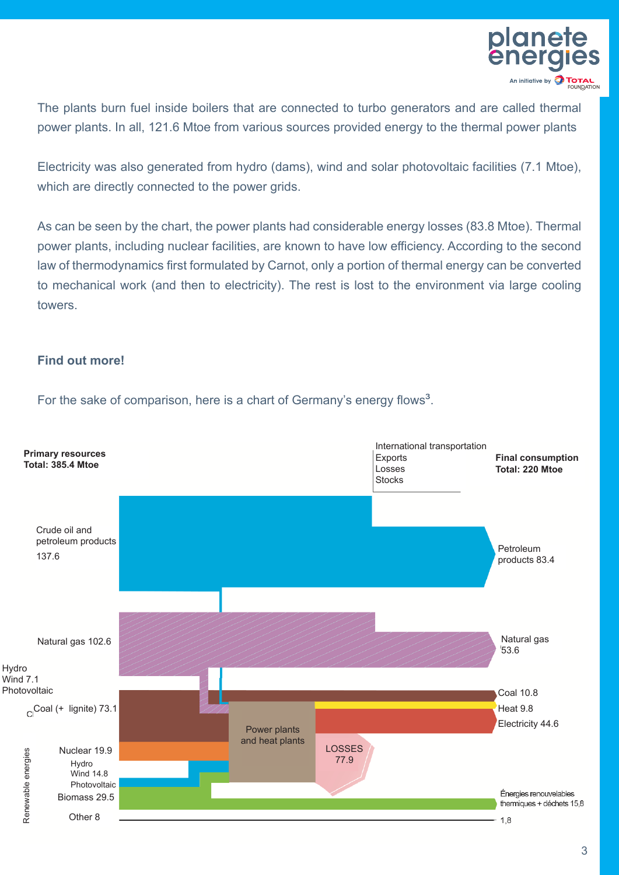

The plants burn fuel inside boilers that are connected to turbo generators and are called thermal power plants. In all, 121.6 Mtoe from various sources provided energy to the thermal power plants

Electricity was also generated from hydro (dams), wind and solar photovoltaic facilities (7.1 Mtoe), which are directly connected to the power grids.

As can be seen by the chart, the power plants had considerable energy losses (83.8 Mtoe). Thermal power plants, including nuclear facilities, are known to have low efficiency. According to the second law of thermodynamics first formulated by Carnot, only a portion of thermal energy can be converted to mechanical work (and then to electricity). The rest is lost to the environment via large cooling towers.

### **Find out more!**

For the sake of comparison, here is a chart of Germany's energy flows<sup>3</sup>.

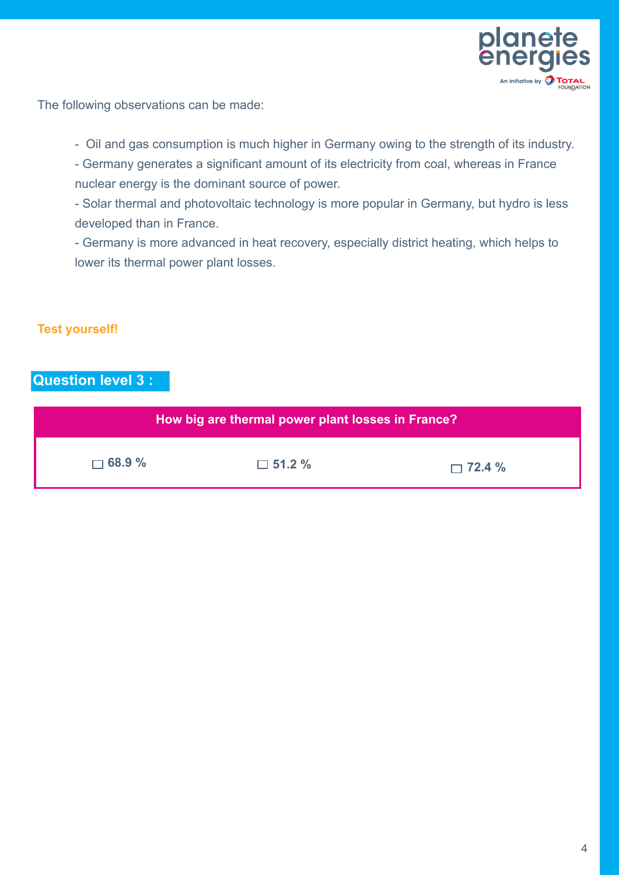

The following observations can be made:

- Oil and gas consumption is much higher in Germany owing to the strength of its industry.

- Germany generates a significant amount of its electricity from coal, whereas in France nuclear energy is the dominant source of power.
- Solar thermal and photovoltaic technology is more popular in Germany, but hydro is less developed than in France.

- Germany is more advanced in heat recovery, especially district heating, which helps to lower its thermal power plant losses.

## **Test yourself!**

## **Question level 3 :**

| How big are thermal power plant losses in France? |               |               |
|---------------------------------------------------|---------------|---------------|
| $\Box$ 68.9 %                                     | $\Box$ 51.2 % | $\Box$ 72.4 % |